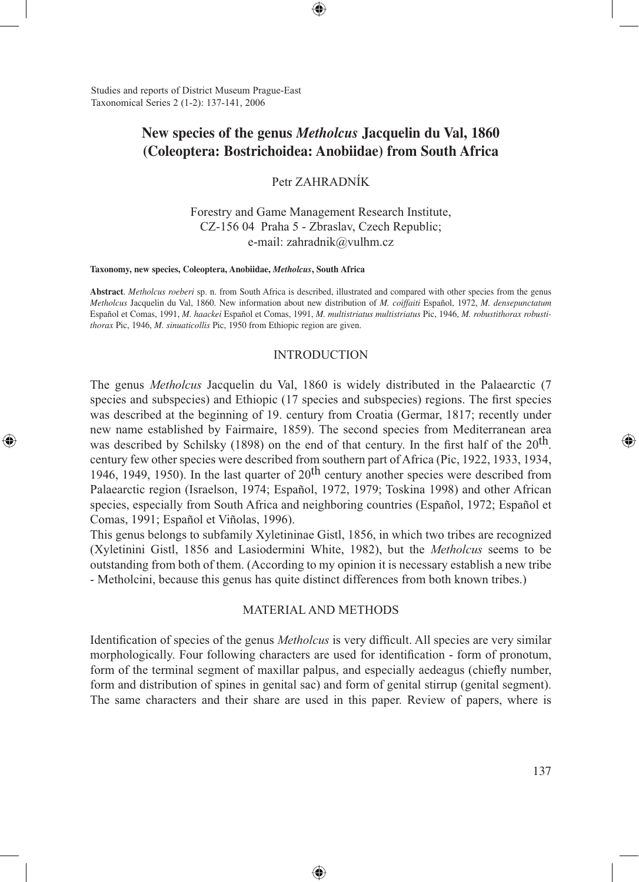Studies and reports of District Museum Prague-East Taxonomical Series 2 (1-2): 137-141, 2006

# **New species of the genus** *Metholcus* **Jacquelin du Val, 1860 (Coleoptera: Bostrichoidea: Anobiidae) from South Africa**

⊕

Petr ZAHRADNÍK

Forestry and Game Management Research Institute, CZ-156 04 Praha 5 - Zbraslav, Czech Republic; e-mail: zahradnik@vulhm.cz

#### **Taxonomy, new species, Coleoptera, Anobiidae,** *Metholcus***, South Africa**

⊕

**Abstract**. *Metholcus roeberi* sp. n. from South Africa is described, illustrated and compared with other species from the genus *Metholcus* Jacquelin du Val, 1860. New information about new distribution of *M. coiffaiti* Español, 1972, *M. densepunctatum* Español et Comas, 1991, *M. haackei* Español et Comas, 1991, *M. multistriatus multistriatus* Pic, 1946, *M. robustithorax robustithorax* Pic, 1946, *M. sinuaticollis* Pic, 1950 from Ethiopic region are given.

#### INTRODUCTION

The genus *Metholcus* Jacquelin du Val, 1860 is widely distributed in the Palaearctic (7 species and subspecies) and Ethiopic (17 species and subspecies) regions. The first species was described at the beginning of 19. century from Croatia (Germar, 1817; recently under new name established by Fairmaire, 1859). The second species from Mediterranean area was described by Schilsky (1898) on the end of that century. In the first half of the  $20^{th}$ . century few other species were described from southern part of Africa (Pic, 1922, 1933, 1934, 1946, 1949, 1950). In the last quarter of  $20<sup>th</sup>$  century another species were described from Palaearctic region (Israelson, 1974; Español, 1972, 1979; Toskina 1998) and other African species, especially from South Africa and neighboring countries (Español, 1972; Español et Comas, 1991; Español et Viñolas, 1996).

This genus belongs to subfamily Xyletininae Gistl, 1856, in which two tribes are recognized (Xyletinini Gistl, 1856 and Lasiodermini White, 1982), but the *Metholcus* seems to be outstanding from both of them. (According to my opinion it is necessary establish a new tribe - Metholcini, because this genus has quite distinct differences from both known tribes.)

## MATERIAL AND METHODS

Identification of species of the genus *Metholcus* is very difficult. All species are very similar morphologically. Four following characters are used for identification - form of pronotum, form of the terminal segment of maxillar palpus, and especially aedeagus (chiefly number, form and distribution of spines in genital sac) and form of genital stirrup (genital segment). The same characters and their share are used in this paper. Review of papers, where is

⊕

◈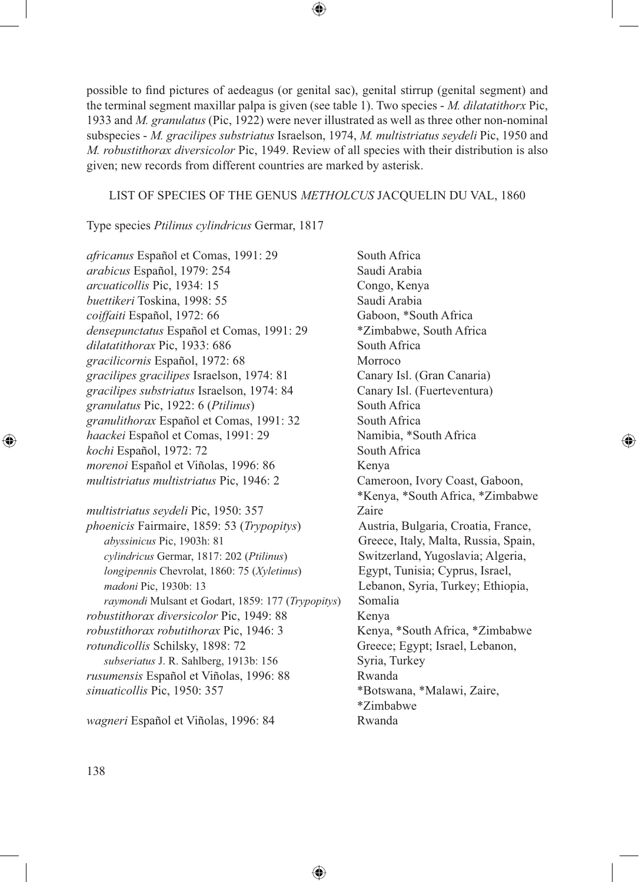possible to find pictures of aedeagus (or genital sac), genital stirrup (genital segment) and the terminal segment maxillar palpa is given (see table 1). Two species - *M. dilatatithorx* Pic, 1933 and *M. granulatus* (Pic, 1922) were never illustrated as well as three other non-nominal subspecies - *M. gracilipes substriatus* Israelson, 1974, *M. multistriatus seydeli* Pic, 1950 and *M. robustithorax diversicolor* Pic, 1949. Review of all species with their distribution is also given; new records from different countries are marked by asterisk.

◈

### LIST OF SPECIES OF THE GENUS *METHOLCUS* JACQUELIN DU VAL, 1860

⊕

Type species *Ptilinus cylindricus* Germar, 1817

*africanus* Español et Comas, 1991: 29 South Africa *arabicus* Español, 1979: 254 Saudi Arabia *arcuaticollis* Pic, 1934: 15 Congo, Kenya *buettikeri* Toskina, 1998: 55 Saudi Arabia *coiffaiti* Español, 1972: 66 Gaboon, \*South Africa *densepunctatus* Español et Comas, 1991: 29 \*Zimbabwe, South Africa *dilatatithorax* Pic, 1933: 686 South Africa *gracilicornis* Español, 1972: 68 Morroco *gracilipes gracilipes* Israelson, 1974: 81 Canary Isl. (Gran Canaria) *gracilipes substriatus* Israelson, 1974: 84 Canary Isl. (Fuerteventura) *granulatus* Pic, 1922: 6 (*Ptilinus*) South Africa granulithorax Español et Comas, 1991: 32 South Africa *haackei* Español et Comas, 1991: 29 Namibia, \*South Africa *kochi* Español, 1972: 72 South Africa *morenoi* Español et Viñolas, 1996: 86 Kenya *multistriatus multistriatus* Pic, 1946: 2 Cameroon, Ivory Coast, Gaboon,

*multistriatus seydeli* Pic, 1950: 357 Zaire *phoenicis* Fairmaire, 1859: 53 (*Trypopitys*) Austria, Bulgaria, Croatia, France, *abyssinicus* Pic, 1903h: 81 Greece, Italy, Malta, Russia, Spain, *cylindricus* Germar, 1817: 202 (*Ptilinus*) Switzerland, Yugoslavia; Algeria, *longipennis* Chevrolat, 1860: 75 (*Xyletinus*) Egypt, Tunisia; Cyprus, Israel, *madoni* Pic, 1930b: 13 Lebanon, Syria, Turkey; Ethiopia, *raymondi* Mulsant et Godart, 1859: 177 (*Trypopitys*) Somalia *robustithorax diversicolor* Pic, 1949: 88 Kenya *robustithorax robutithorax* Pic, 1946: 3 Kenya, \*South Africa, \*Zimbabwe *rotundicollis* Schilsky, 1898: 72 Greece; Egypt; Israel, Lebanon, *subseriatus* J. R. Sahlberg, 1913b: 156 Syria, Turkey *rusumensis* Español et Viñolas, 1996: 88 Rwanda *sinuaticollis* Pic, 1950: 357 \*Botswana, \*Malawi, Zaire,

*wagneri* Español et Viñolas, 1996: 84 Rwanda

\*Kenya, \*South Africa, \*Zimbabwe \*Zimbabwe

⊕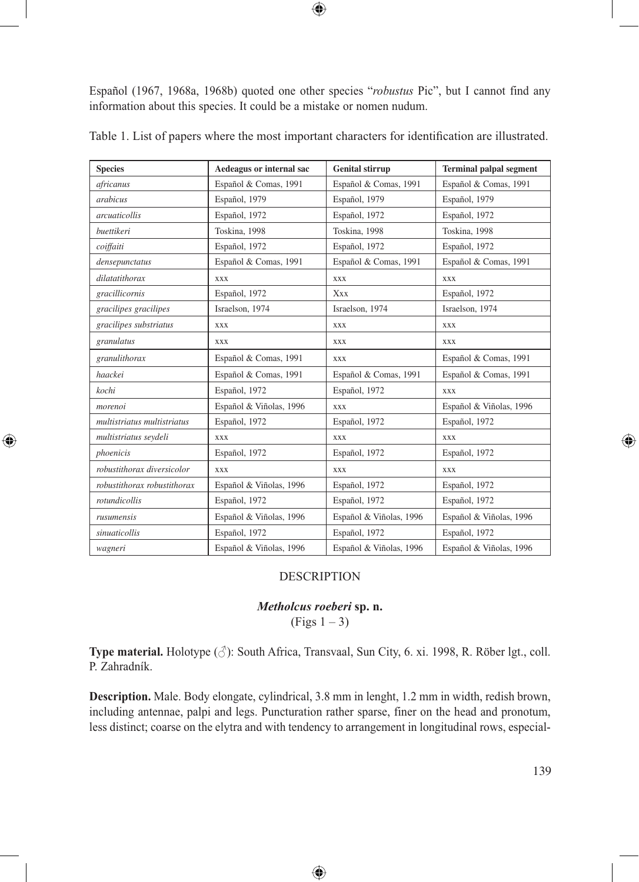Español (1967, 1968a, 1968b) quoted one other species "*robustus* Pic", but I cannot find any information about this species. It could be a mistake or nomen nudum.

 $\bigoplus$ 

| <b>Species</b>              | Aedeagus or internal sac | <b>Genital stirrup</b>  | <b>Terminal palpal segment</b> |
|-----------------------------|--------------------------|-------------------------|--------------------------------|
| africanus                   | Español & Comas, 1991    | Español & Comas, 1991   | Español & Comas, 1991          |
| arabicus                    | Español, 1979            | Español, 1979           | Español, 1979                  |
| arcuaticollis               | Español, 1972            | Español, 1972           | Español, 1972                  |
| buettikeri                  | Toskina, 1998            | Toskina, 1998           | Toskina, 1998                  |
| coiffaiti                   | Español, 1972            | Español, 1972           | Español, 1972                  |
| densepunctatus              | Español & Comas, 1991    | Español & Comas, 1991   | Español & Comas, 1991          |
| dilatatithorax              | <b>XXX</b>               | <b>XXX</b>              | <b>XXX</b>                     |
| gracillicornis              | Español, 1972            | Xxx                     | Español, 1972                  |
| gracilipes gracilipes       | Israelson, 1974          | Israelson, 1974         | Israelson, 1974                |
| gracilipes substriatus      | XXX                      | <b>XXX</b>              | XXX                            |
| granulatus                  | XXX                      | <b>XXX</b>              | XXX                            |
| granulithorax               | Español & Comas, 1991    | <b>XXX</b>              | Español & Comas, 1991          |
| haackei                     | Español & Comas, 1991    | Español & Comas, 1991   | Español & Comas, 1991          |
| kochi                       | Español, 1972            | Español, 1972           | <b>XXX</b>                     |
| morenoi                     | Español & Viñolas, 1996  | <b>XXX</b>              | Español & Viñolas, 1996        |
| multistriatus multistriatus | Español, 1972            | Español, 1972           | Español, 1972                  |
| multistriatus seydeli       | <b>XXX</b>               | XXX                     | <b>XXX</b>                     |
| phoenicis                   | Español, 1972            | Español, 1972           | Español, 1972                  |
| robustithorax diversicolor  | <b>XXX</b>               | <b>XXX</b>              | <b>XXX</b>                     |
| robustithorax robustithorax | Español & Viñolas, 1996  | Español, 1972           | Español, 1972                  |
| rotundicollis               | Español, 1972            | Español, 1972           | Español, 1972                  |
| rusumensis                  | Español & Viñolas, 1996  | Español & Viñolas, 1996 | Español & Viñolas, 1996        |
| sinuaticollis               | Español, 1972            | Español, 1972           | Español, 1972                  |
| wagneri                     | Español & Viñolas, 1996  | Español & Viñolas, 1996 | Español & Viñolas, 1996        |

 $\bigcirc$ 

Table 1. List of papers where the most important characters for identification are illustrated.

### DESCRIPTION

# *Metholcus roeberi* **sp. n.**

 $(Figs 1 - 3)$ 

**Type material.** Holotype (♂): South Africa, Transvaal, Sun City, 6. xi. 1998, R. Röber lgt., coll. P. Zahradník.

**Description.** Male. Body elongate, cylindrical, 3.8 mm in lenght, 1.2 mm in width, redish brown, including antennae, palpi and legs. Puncturation rather sparse, finer on the head and pronotum, less distinct; coarse on the elytra and with tendency to arrangement in longitudinal rows, especial-

 $\bigoplus$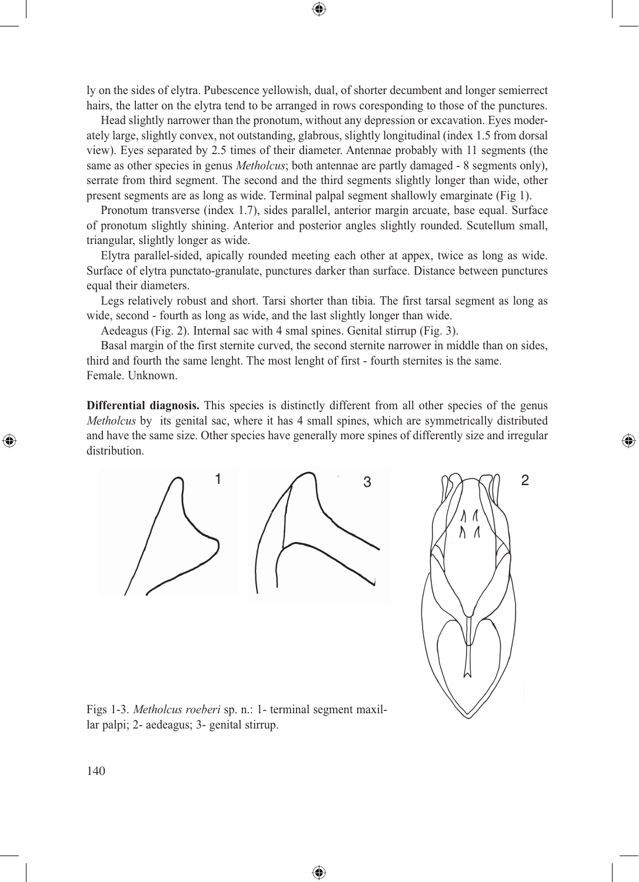ly on the sides of elytra. Pubescence yellowish, dual, of shorter decumbent and longer semierrect hairs, the latter on the elytra tend to be arranged in rows coresponding to those of the punctures.

◈

Head slightly narrower than the pronotum, without any depression or excavation. Eyes moderately large, slightly convex, not outstanding, glabrous, slightly longitudinal (index 1.5 from dorsal view). Eyes separated by 2.5 times of their diameter. Antennae probably with 11 segments (the same as other species in genus *Metholcus*; both antennae are partly damaged - 8 segments only), serrate from third segment. The second and the third segments slightly longer than wide, other present segments are as long as wide. Terminal palpal segment shallowly emarginate (Fig 1).

Pronotum transverse (index 1.7), sides parallel, anterior margin arcuate, base equal. Surface of pronotum slightly shining. Anterior and posterior angles slightly rounded. Scutellum small, triangular, slightly longer as wide.

Elytra parallel-sided, apically rounded meeting each other at appex, twice as long as wide. Surface of elytra punctato-granulate, punctures darker than surface. Distance between punctures equal their diameters.

Legs relatively robust and short. Tarsi shorter than tibia. The first tarsal segment as long as wide, second - fourth as long as wide, and the last slightly longer than wide.

Aedeagus (Fig. 2). Internal sac with 4 smal spines. Genital stirrup (Fig. 3).

Basal margin of the first sternite curved, the second sternite narrower in middle than on sides, third and fourth the same lenght. The most lenght of first - fourth sternites is the same. Female. Unknown.

**Differential diagnosis.** This species is distinctly different from all other species of the genus *Metholcus* by its genital sac, where it has 4 small spines, which are symmetrically distributed and have the same size. Other species have generally more spines of differently size and irregular distribution.

◈





⊕

Figs 1-3. *Metholcus roeberi* sp. n.: 1- terminal segment maxillar palpi; 2- aedeagus; 3- genital stirrup.

140